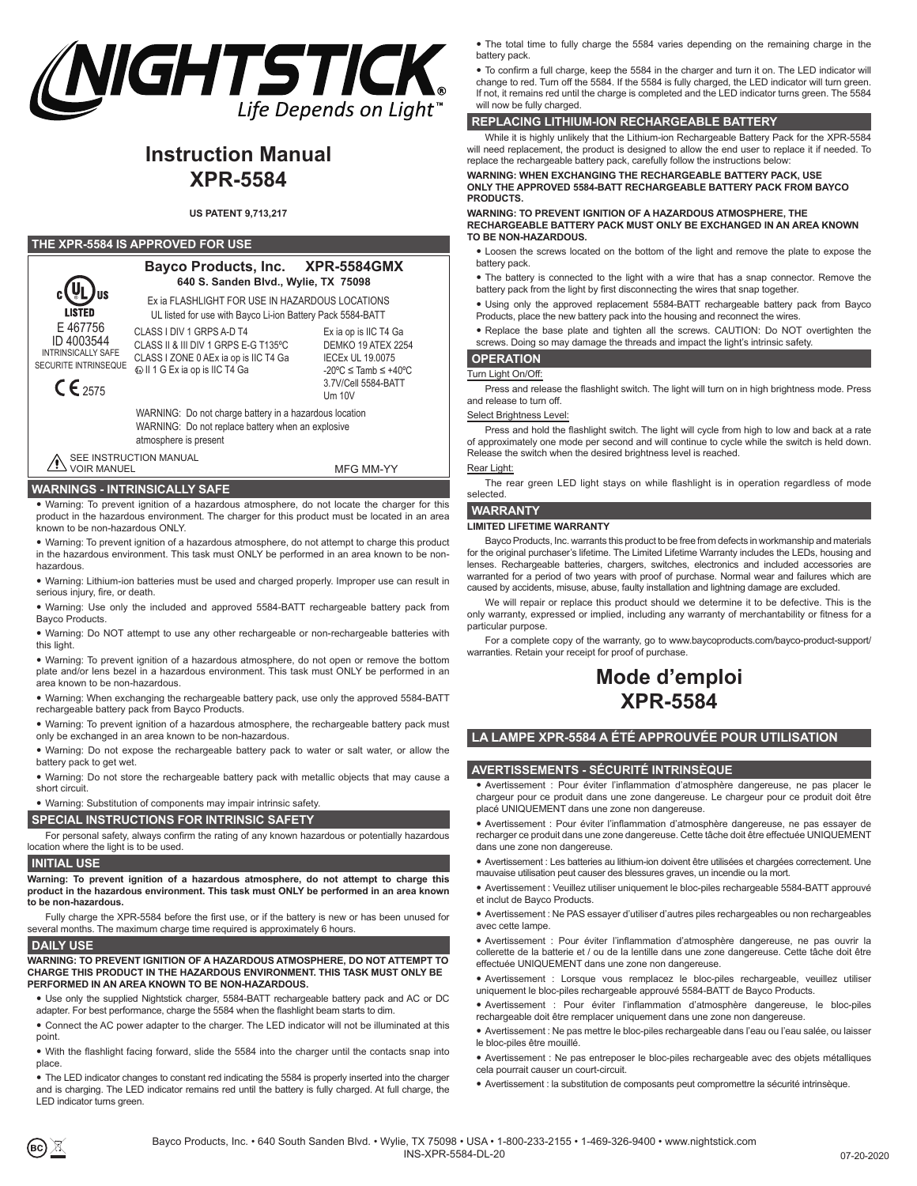

# **Instruction Manual XPR-5584**

## **US PATENT 9,713,217**

#### **THE XPR-5584 IS APPROVED FOR USE**



**Bayco Products, Inc. XPR-5584GMX 640 S. Sanden Blvd., Wylie, TX 75098**

Ex ia op is IIC T4 Ga Ex ia FLASHLIGHT FOR USE IN HAZARDOUS LOCATIONS UL listed for use with Bayco Li-ion Battery Pack 5584-BATT

CLASS I DIV 1 GRPS A-D T4 CLASS II & III DIV 1 GRPS E-G T135ºC CLASS I ZONE 0 AEx ia op is IIC T4 Ga  $\textcircled{\textsc{ii}}$  1 G Ex ia op is IIC T4 Ga

DEMKO 19 ATEX 2254 IECEx UL 19.0075 -20ºC ≤ Tamb ≤ +40ºC 3.7V/Cell 5584-BATT

WARNING: Do not charge battery in a hazardous location WARNING: Do not replace battery when an explosive atmosphere is present

SEE INSTRUCTION MANUAL VOIR MANUEL

MFG MM-YY

# **WARNINGS - INTRINSICALLY SAFE**

• Warning: To prevent ignition of a hazardous atmosphere, do not locate the charger for this product in the hazardous environment. The charger for this product must be located in an area known to be non-hazardous ONLY.

• Warning: To prevent ignition of a hazardous atmosphere, do not attempt to charge this product in the hazardous environment. This task must ONLY be performed in an area known to be nonhazardous.

• Warning: Lithium-ion batteries must be used and charged properly. Improper use can result in serious injury, fire, or death.

• Warning: Use only the included and approved 5584-BATT rechargeable battery pack from Bayco Products.

• Warning: Do NOT attempt to use any other rechargeable or non-rechargeable batteries with this light.

• Warning: To prevent ignition of a hazardous atmosphere, do not open or remove the bottom plate and/or lens bezel in a hazardous environment. This task must ONLY be performed in an area known to be non-hazardous.

• Warning: When exchanging the rechargeable battery pack, use only the approved 5584-BATT rechargeable battery pack from Bayco Products.

• Warning: To prevent ignition of a hazardous atmosphere, the rechargeable battery pack must only be exchanged in an area known to be non-hazardous.

• Warning: Do not expose the rechargeable battery pack to water or salt water, or allow the battery pack to get wet.

• Warning: Do not store the rechargeable battery pack with metallic objects that may cause a short circuit.

• Warning: Substitution of components may impair intrinsic safety.

## **SPECIAL INSTRUCTIONS FOR INTRINSIC SAFETY**

For personal safety, always confirm the rating of any known hazardous or potentially hazardous location where the light is to be used.

# **INITIAL USE**

**Warning: To prevent ignition of a hazardous atmosphere, do not attempt to charge this product in the hazardous environment. This task must ONLY be performed in an area known to be non-hazardous.**

Fully charge the XPR-5584 before the first use, or if the battery is new or has been unused for several months. The maximum charge time required is approximately 6 hours.

#### **DAILY USE**

#### **WARNING: TO PREVENT IGNITION OF A HAZARDOUS ATMOSPHERE, DO NOT ATTEMPT TO CHARGE THIS PRODUCT IN THE HAZARDOUS ENVIRONMENT. THIS TASK MUST ONLY BE PERFORMED IN AN AREA KNOWN TO BE NON-HAZARDOUS.**

• Use only the supplied Nightstick charger, 5584-BATT rechargeable battery pack and AC or DC adapter. For best performance, charge the 5584 when the flashlight beam starts to dim.

y Connect the AC power adapter to the charger. The LED indicator will not be illuminated at this point.

• With the flashlight facing forward, slide the 5584 into the charger until the contacts snap into place.

• The LED indicator changes to constant red indicating the 5584 is properly inserted into the charger and is charging. The LED indicator remains red until the battery is fully charged. At full charge, the LED indicator turns green.

• The total time to fully charge the 5584 varies depending on the remaining charge in the battery pack.

• To confirm a full charge, keep the 5584 in the charger and turn it on. The LED indicator will change to red. Turn off the 5584. If the 5584 is fully charged, the LED indicator will turn green. If not, it remains red until the charge is completed and the LED indicator turns green. The 5584 will now be fully charged.

# **REPLACING LITHIUM-ION RECHARGEABLE BATTERY**

While it is highly unlikely that the Lithium-ion Rechargeable Battery Pack for the XPR-5584 will need replacement, the product is designed to allow the end user to replace it if needed. To replace the rechargeable battery pack, carefully follow the instructions below:

**WARNING: WHEN EXCHANGING THE RECHARGEABLE BATTERY PACK, USE ONLY THE APPROVED 5584-BATT RECHARGEABLE BATTERY PACK FROM BAYCO PRODUCTS.**

**WARNING: TO PREVENT IGNITION OF A HAZARDOUS ATMOSPHERE, THE RECHARGEABLE BATTERY PACK MUST ONLY BE EXCHANGED IN AN AREA KNOWN TO BE NON-HAZARDOUS.**

- Loosen the screws located on the bottom of the light and remove the plate to expose the battery pack.
- The battery is connected to the light with a wire that has a snap connector. Remove the battery pack from the light by first disconnecting the wires that snap together.
- Using only the approved replacement 5584-BATT rechargeable battery pack from Bayco Products, place the new battery pack into the housing and reconnect the wire
- Replace the base plate and tighten all the screws. CAUTION: Do NOT overtighten the screws. Doing so may damage the threads and impact the light's intrinsic safety.

# **OPERATION**

# Turn Light On/Off:

Press and release the flashlight switch. The light will turn on in high brightness mode. Press and release to turn off.

#### Select Brightness Level:

Press and hold the flashlight switch. The light will cycle from high to low and back at a rate of approximately one mode per second and will continue to cycle while the switch is held down. Release the switch when the desired brightness level is reached.

#### Rear Light:

The rear green LED light stays on while flashlight is in operation regardless of mode selected.

# **WARRANTY**

#### **LIMITED LIFETIME WARRANTY**

Bayco Products, Inc. warrants this product to be free from defects in workmanship and materials for the original purchaser's lifetime. The Limited Lifetime Warranty includes the LEDs, housing and lenses. Rechargeable batteries, chargers, switches, electronics and included accessories are warranted for a period of two years with proof of purchase. Normal wear and failures which are caused by accidents, misuse, abuse, faulty installation and lightning damage are excluded.

We will repair or replace this product should we determine it to be defective. This is the only warranty, expressed or implied, including any warranty of merchantability or fitness for a particular purpose.

For a complete copy of the warranty, go to www.baycoproducts.com/bayco-product-support/ warranties. Retain your receipt for proof of purchase.

# **Mode d'emploi XPR-5584**

# **LA LAMPE XPR-5584 A ÉTÉ APPROUVÉE POUR UTILISATION**

# **AVERTISSEMENTS - SÉCURITÉ INTRINSÈQUE**

y Avertissement : Pour éviter l'inflammation d'atmosphère dangereuse, ne pas placer le chargeur pour ce produit dans une zone dangereuse. Le chargeur pour ce produit doit être placé UNIQUEMENT dans une zone non dangereuse.

• Avertissement : Pour éviter l'inflammation d'atmosphère dangereuse, ne pas essayer de recharger ce produit dans une zone dangereuse. Cette tâche doit être effectuée UNIQUEMENT dans une zone non dangereuse.

• Avertissement : Les batteries au lithium-ion doivent être utilisées et chargées correctement. Une mauvaise utilisation peut causer des blessures graves, un incendie ou la mort.

• Avertissement : Veuillez utiliser uniquement le bloc-piles rechargeable 5584-BATT approuvé et inclut de Bayco Products.

y Avertissement : Ne PAS essayer d'utiliser d'autres piles rechargeables ou non rechargeables avec cette lampe.

y Avertissement : Pour éviter l'inflammation d'atmosphère dangereuse, ne pas ouvrir la collerette de la batterie et / ou de la lentille dans une zone dangereuse. Cette tâche doit être effectuée UNIQUEMENT dans une zone non dangereuse.

y Avertissement : Lorsque vous remplacez le bloc-piles rechargeable, veuillez utiliser uniquement le bloc-piles rechargeable approuvé 5584-BATT de Bayco Products.

y Avertissement : Pour éviter l'inflammation d'atmosphère dangereuse, le bloc-piles rechargeable doit être remplacer uniquement dans une zone non dangereuse.

y Avertissement : Ne pas mettre le bloc-piles rechargeable dans l'eau ou l'eau salée, ou laisser le bloc-piles être mouillé.

• Avertissement : Ne pas entreposer le bloc-piles rechargeable avec des objets métalliques cela pourrait causer un court-circuit.

y Avertissement : la substitution de composants peut compromettre la sécurité intrinsèque.

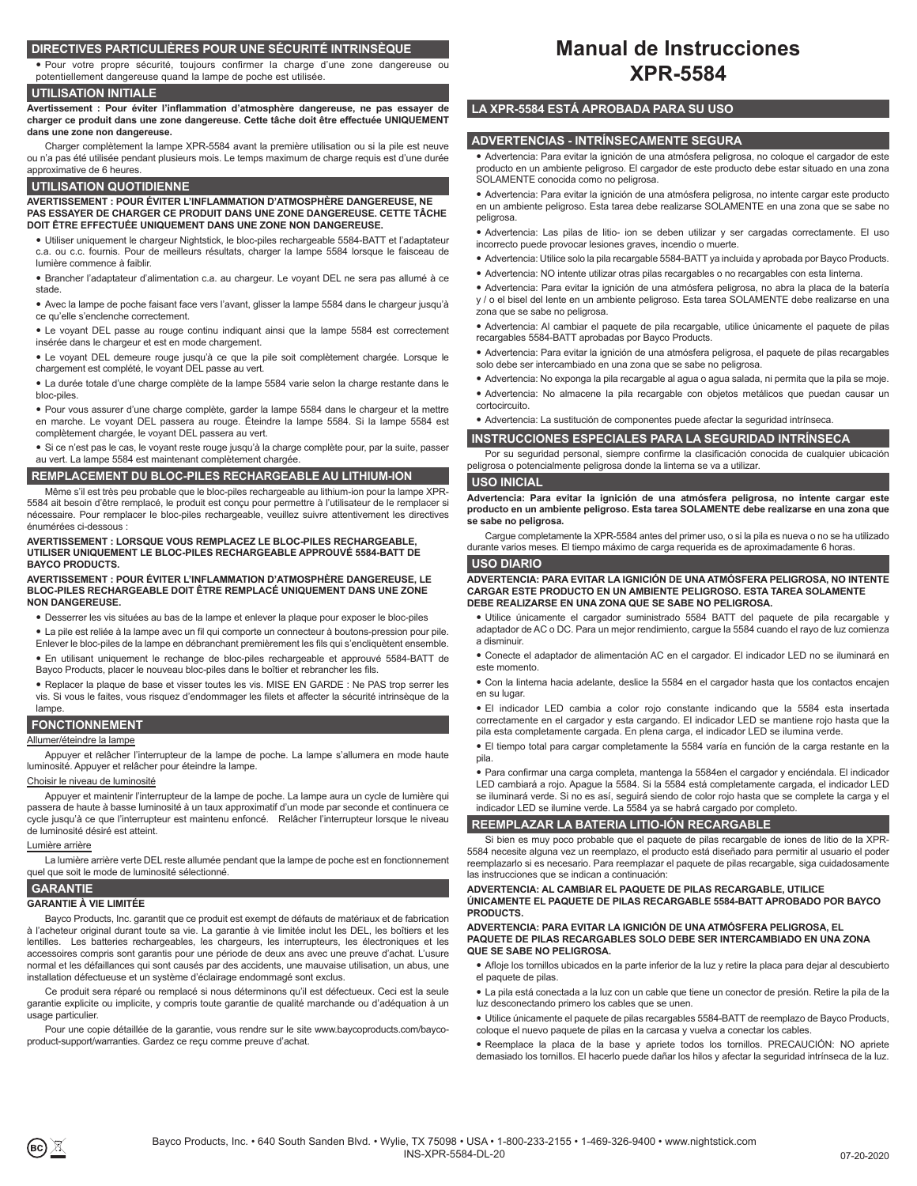# **DIRECTIVES PARTICULIÈRES POUR UNE SÉCURITÉ INTRINSÈQUE**

y Pour votre propre sécurité, toujours confirmer la charge d'une zone dangereuse ou potentiellement dangereuse quand la lampe de poche est utilisée.

# **UTILISATION INITIALE**

**Avertissement : Pour éviter l'inflammation d'atmosphère dangereuse, ne pas essayer de charger ce produit dans une zone dangereuse. Cette tâche doit être effectuée UNIQUEMENT dans une zone non dangereuse.**

Charger complètement la lampe XPR-5584 avant la première utilisation ou si la pile est neuve ou n'a pas été utilisée pendant plusieurs mois. Le temps maximum de charge requis est d'une durée approximative de 6 heures.

#### **UTILISATION QUOTIDIENNE**

**AVERTISSEMENT : POUR ÉVITER L'INFLAMMATION D'ATMOSPHÈRE DANGEREUSE, NE PAS ESSAYER DE CHARGER CE PRODUIT DANS UNE ZONE DANGEREUSE. CETTE TÂCHE DOIT ÊTRE EFFECTUÉE UNIQUEMENT DANS UNE ZONE NON DANGEREUSE.**

y Utiliser uniquement le chargeur Nightstick, le bloc-piles rechargeable 5584-BATT et l'adaptateur c.a. ou c.c. fournis. Pour de meilleurs résultats, charger la lampe 5584 lorsque le faisceau de lumière commence à faiblir.

y Brancher l'adaptateur d'alimentation c.a. au chargeur. Le voyant DEL ne sera pas allumé à ce stade.

y Avec la lampe de poche faisant face vers l'avant, glisser la lampe 5584 dans le chargeur jusqu'à ce qu'elle s'enclenche correctement.

• Le voyant DEL passe au rouge continu indiquant ainsi que la lampe 5584 est correctement insérée dans le chargeur et est en mode chargement.

y Le voyant DEL demeure rouge jusqu'à ce que la pile soit complètement chargée. Lorsque le chargement est complété, le voyant DEL passe au vert.

• La durée totale d'une charge complète de la lampe 5584 varie selon la charge restante dans le bloc-piles.

y Pour vous assurer d'une charge complète, garder la lampe 5584 dans le chargeur et la mettre en marche. Le voyant DEL passera au rouge. Éteindre la lampe 5584. Si la lampe 5584 est complètement chargée, le voyant DEL passera au vert.

y Si ce n'est pas le cas, le voyant reste rouge jusqu'à la charge complète pour, par la suite, passer au vert. La lampe 5584 est maintenant complètement chargée.

## **REMPLACEMENT DU BLOC-PILES RECHARGEABLE AU LITHIUM-ION**

Même s'il est très peu probable que le bloc-piles rechargeable au lithium-ion pour la lampe XPR-5584 ait besoin d'être remplacé, le produit est conçu pour permettre à l'utilisateur de le remplacer si nécessaire. Pour remplacer le bloc-piles rechargeable, veuillez suivre attentivement les directives énumérées ci-dessous :

**AVERTISSEMENT : LORSQUE VOUS REMPLACEZ LE BLOC-PILES RECHARGEABLE, UTILISER UNIQUEMENT LE BLOC-PILES RECHARGEABLE APPROUVÉ 5584-BATT DE BAYCO PRODUCTS.** 

#### **AVERTISSEMENT : POUR ÉVITER L'INFLAMMATION D'ATMOSPHÈRE DANGEREUSE, LE BLOC-PILES RECHARGEABLE DOIT ÊTRE REMPLACÉ UNIQUEMENT DANS UNE ZONE NON DANGEREUSE.**

- y Desserrer les vis situées au bas de la lampe et enlever la plaque pour exposer le bloc-piles
- La pile est reliée à la lampe avec un fil qui comporte un connecteur à boutons-pression pour pile.
- Enlever le bloc-piles de la lampe en débranchant premièrement les fils qui s'encliquètent ensemble. y En utilisant uniquement le rechange de bloc-piles rechargeable et approuvé 5584-BATT de
- Bayco Products, placer le nouveau bloc-piles dans le boîtier et rebrancher les fils.

• Replacer la plaque de base et visser toutes les vis. MISE EN GARDE : Ne PAS trop serrer les vis. Si vous le faites, vous risquez d'endommager les filets et affecter la sécurité intrinsèque de la lampe.

# **FONCTIONNEMENT**

#### Allumer/éteindre la lampe

Appuyer et relâcher l'interrupteur de la lampe de poche. La lampe s'allumera en mode haute luminosité. Appuyer et relâcher pour éteindre la lampe.

#### Choisir le niveau de luminosité

Appuyer et maintenir l'interrupteur de la lampe de poche. La lampe aura un cycle de lumière qui passera de haute à basse luminosité à un taux approximatif d'un mode par seconde et continuera ce cycle jusqu'à ce que l'interrupteur est maintenu enfoncé. Relâcher l'interrupteur lorsque le niveau de luminosité désiré est atteint.

## Lumière arrière

La lumière arrière verte DEL reste allumée pendant que la lampe de poche est en fonctionnement quel que soit le mode de luminosité sélectionné.

# **GARANTIE**

# **GARANTIE À VIE LIMITÉE**

Bayco Products, Inc. garantit que ce produit est exempt de défauts de matériaux et de fabrication à l'acheteur original durant toute sa vie. La garantie à vie limitée inclut les DEL, les boîtiers et les lentilles. Les batteries rechargeables, les chargeurs, les interrupteurs, les électroniques et les accessoires compris sont garantis pour une période de deux ans avec une preuve d'achat. L'usure normal et les défaillances qui sont causés par des accidents, une mauvaise utilisation, un abus, une installation défectueuse et un système d'éclairage endommagé sont exclus.

Ce produit sera réparé ou remplacé si nous déterminons qu'il est défectueux. Ceci est la seule garantie explicite ou implicite, y compris toute garantie de qualité marchande ou d'adéquation à un usage particulier.

Pour une copie détaillée de la garantie, vous rendre sur le site www.baycoproducts.com/baycoproduct-support/warranties. Gardez ce reçu comme preuve d'achat.

# **Manual de Instrucciones XPR-5584**

# **LA XPR-5584 ESTÁ APROBADA PARA SU USO**

# **ADVERTENCIAS - INTRÍNSECAMENTE SEGURA**

y Advertencia: Para evitar la ignición de una atmósfera peligrosa, no coloque el cargador de este producto en un ambiente peligroso. El cargador de este producto debe estar situado en una zona SOLAMENTE conocida como no peligrosa.

y Advertencia: Para evitar la ignición de una atmósfera peligrosa, no intente cargar este producto en un ambiente peligroso. Esta tarea debe realizarse SOLAMENTE en una zona que se sabe no peligrosa.

• Advertencia: Las pilas de litio- ion se deben utilizar y ser cargadas correctamente. El uso incorrecto puede provocar lesiones graves, incendio o muerte.

- y Advertencia: Utilice solo la pila recargable 5584-BATT ya incluida y aprobada por Bayco Products.
- y Advertencia: NO intente utilizar otras pilas recargables o no recargables con esta linterna.
- y Advertencia: Para evitar la ignición de una atmósfera peligrosa, no abra la placa de la batería y / o el bisel del lente en un ambiente peligroso. Esta tarea SOLAMENTE debe realizarse en una zona que se sabe no peligrosa.

y Advertencia: Al cambiar el paquete de pila recargable, utilice únicamente el paquete de pilas recargables 5584-BATT aprobadas por Bayco Products.

y Advertencia: Para evitar la ignición de una atmósfera peligrosa, el paquete de pilas recargables solo debe ser intercambiado en una zona que se sabe no peligrosa.

- y Advertencia: No exponga la pila recargable al agua o agua salada, ni permita que la pila se moje.
- Advertencia: No almacene la pila recargable con objetos metálicos que puedan causar un cortocircuito.

y Advertencia: La sustitución de componentes puede afectar la seguridad intrínseca.

**INSTRUCCIONES ESPECIALES PARA LA SEGURIDAD INTRÍNSECA**

Por su seguridad personal, siempre confirme la clasificación conocida de cualquier ubicación peligrosa o potencialmente peligrosa donde la linterna se va a utilizar.

#### **USO INICIAL**

**Advertencia: Para evitar la ignición de una atmósfera peligrosa, no intente cargar este producto en un ambiente peligroso. Esta tarea SOLAMENTE debe realizarse en una zona que se sabe no peligrosa.**

Cargue completamente la XPR-5584 antes del primer uso, o si la pila es nueva o no se ha utilizado durante varios meses. El tiempo máximo de carga requerida es de aproximadamente 6 horas.

#### **USO DIARIO**

#### **ADVERTENCIA: PARA EVITAR LA IGNICIÓN DE UNA ATMÓSFERA PELIGROSA, NO INTENTE CARGAR ESTE PRODUCTO EN UN AMBIENTE PELIGROSO. ESTA TAREA SOLAMENTE DEBE REALIZARSE EN UNA ZONA QUE SE SABE NO PELIGROSA.**

y Utilice únicamente el cargador suministrado 5584 BATT del paquete de pila recargable y adaptador de AC o DC. Para un mejor rendimiento, cargue la 5584 cuando el rayo de luz comienza a disminuir.

y Conecte el adaptador de alimentación AC en el cargador. El indicador LED no se iluminará en este momento.

y Con la linterna hacia adelante, deslice la 5584 en el cargador hasta que los contactos encajen en su lugar.

y El indicador LED cambia a color rojo constante indicando que la 5584 esta insertada correctamente en el cargador y esta cargando. El indicador LED se mantiene rojo hasta que la pila esta completamente cargada. En plena carga, el indicador LED se ilumina verde.

y El tiempo total para cargar completamente la 5584 varía en función de la carga restante en la pila.

y Para confirmar una carga completa, mantenga la 5584en el cargador y enciéndala. El indicador

LED cambiará a rojo. Apague la 5584. Si la 5584 está completamente cargada, el indicador LED se iluminará verde. Si no es así, seguirá siendo de color rojo hasta que se complete la carga y el indicador LED se ilumine verde. La 5584 ya se habrá cargado por completo.

## **REEMPLAZAR LA BATERIA LITIO-IÓN RECARGABLE**

Si bien es muy poco probable que el paquete de pilas recargable de iones de litio de la XPR-5584 necesite alguna vez un reemplazo, el producto está diseñado para permitir al usuario el poder reemplazarlo si es necesario. Para reemplazar el paquete de pilas recargable, siga cuidadosamente las instrucciones que se indican a continuación:

#### **ADVERTENCIA: AL CAMBIAR EL PAQUETE DE PILAS RECARGABLE, UTILICE ÚNICAMENTE EL PAQUETE DE PILAS RECARGABLE 5584-BATT APROBADO POR BAYCO**

**PRODUCTS. ADVERTENCIA: PARA EVITAR LA IGNICIÓN DE UNA ATMÓSFERA PELIGROSA, EL PAQUETE DE PILAS RECARGABLES SOLO DEBE SER INTERCAMBIADO EN UNA ZONA QUE SE SABE NO PELIGROSA.**

y Afloje los tornillos ubicados en la parte inferior de la luz y retire la placa para dejar al descubierto el paquete de pilas.

- y La pila está conectada a la luz con un cable que tiene un conector de presión. Retire la pila de la luz desconectando primero los cables que se unen.
- · Utilice únicamente el paquete de pilas recargables 5584-BATT de reemplazo de Bayco Products, coloque el nuevo paquete de pilas en la carcasa y vuelva a conectar los cables.
- Reemplace la placa de la base y apriete todos los tornillos. PRECAUCIÓN: NO apriete demasiado los tornillos. El hacerlo puede dañar los hilos y afectar la seguridad intrínseca de la luz.

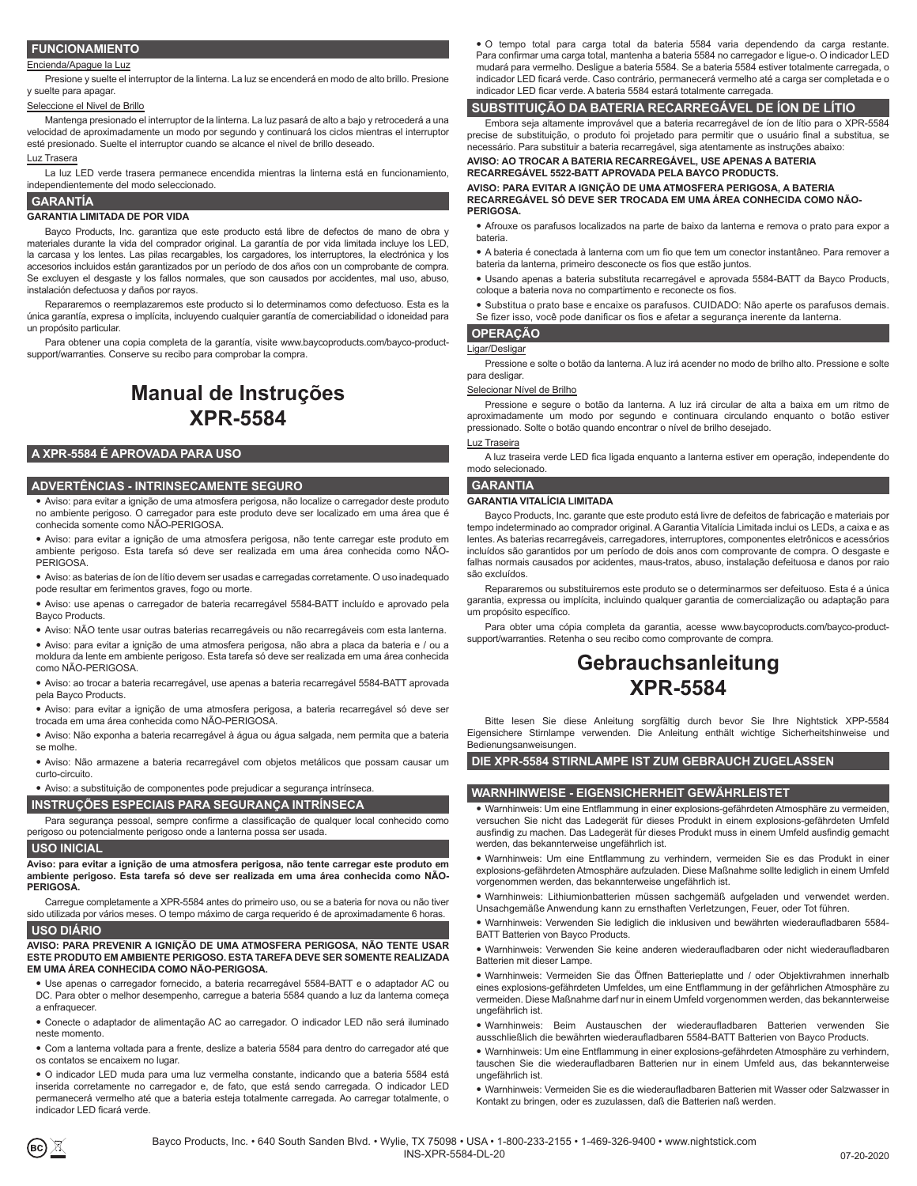# **FUNCIONAMIENTO**

#### Encienda/Apague la Luz

Presione y suelte el interruptor de la linterna. La luz se encenderá en modo de alto brillo. Presione y suelte para apagar.

#### Seleccione el Nivel de Brillo

Mantenga presionado el interruptor de la linterna. La luz pasará de alto a bajo y retrocederá a una velocidad de aproximadamente un modo por segundo y continuará los ciclos mientras el interruptor esté presionado. Suelte el interruptor cuando se alcance el nivel de brillo deseado.

#### Luz Trasera

La luz LED verde trasera permanece encendida mientras la linterna está en funcionamiento, independientemente del modo seleccionado.

#### **GARANTÍA**

#### **GARANTIA LIMITADA DE POR VIDA**

Bayco Products, Inc. garantiza que este producto está libre de defectos de mano de obra y materiales durante la vida del comprador original. La garantía de por vida limitada incluye los LED, la carcasa y los lentes. Las pilas recargables, los cargadores, los interruptores, la electrónica y los accesorios incluidos están garantizados por un período de dos años con un comprobante de compra. Se excluyen el desgaste y los fallos normales, que son causados por accidentes, mal uso, abuso, instalación defectuosa y daños por rayos.

Repararemos o reemplazaremos este producto si lo determinamos como defectuoso. Esta es la única garantía, expresa o implícita, incluyendo cualquier garantía de comerciabilidad o idoneidad para un propósito particular.

Para obtener una copia completa de la garantía, visite www.baycoproducts.com/bayco-productsupport/warranties. Conserve su recibo para comprobar la compra.

# **Manual de Instruções XPR-5584**

# **A XPR-5584 É APROVADA PARA USO**

#### **ADVERTÊNCIAS - INTRINSECAMENTE SEGURO**

y Aviso: para evitar a ignição de uma atmosfera perigosa, não localize o carregador deste produto no ambiente perigoso. O carregador para este produto deve ser localizado em uma área que é conhecida somente como NÃO-PERIGOSA.

y Aviso: para evitar a ignição de uma atmosfera perigosa, não tente carregar este produto em ambiente perigoso. Esta tarefa só deve ser realizada em uma área conhecida como NÃO-**PERIGOSA** 

y Aviso: as baterias de íon de lítio devem ser usadas e carregadas corretamente. O uso inadequado pode resultar em ferimentos graves, fogo ou morte.

y Aviso: use apenas o carregador de bateria recarregável 5584-BATT incluído e aprovado pela Bayco Products.

y Aviso: NÃO tente usar outras baterias recarregáveis ou não recarregáveis com esta lanterna.

y Aviso: para evitar a ignição de uma atmosfera perigosa, não abra a placa da bateria e / ou a moldura da lente em ambiente perigoso. Esta tarefa só deve ser realizada em uma área conhecida como NÃO-PERIGOSA.

y Aviso: ao trocar a bateria recarregável, use apenas a bateria recarregável 5584-BATT aprovada pela Bayco Products.

y Aviso: para evitar a ignição de uma atmosfera perigosa, a bateria recarregável só deve ser trocada em uma área conhecida como NÃO-PERIGOSA.

y Aviso: Não exponha a bateria recarregável à água ou água salgada, nem permita que a bateria se molhe.

y Aviso: Não armazene a bateria recarregável com objetos metálicos que possam causar um curto-circuito.

y Aviso: a substituição de componentes pode prejudicar a segurança intrínseca.

# **INSTRUÇÕES ESPECIAIS PARA SEGURANÇA INTRÍNSECA**

Para segurança pessoal, sempre confirme a classificação de qualquer local conhecido como perigoso ou potencialmente perigoso onde a lanterna possa ser usada.

# **USO INICIAL**

**Aviso: para evitar a ignição de uma atmosfera perigosa, não tente carregar este produto em ambiente perigoso. Esta tarefa só deve ser realizada em uma área conhecida como NÃO-PERIGOSA.**

Carregue completamente a XPR-5584 antes do primeiro uso, ou se a bateria for nova ou não tiver sido utilizada por vários meses. O tempo máximo de carga requerido é de aproximadamente 6 horas.

## **USO DIÁRIO**

**AVISO: PARA PREVENIR A IGNIÇÃO DE UMA ATMOSFERA PERIGOSA, NÃO TENTE USAR ESTE PRODUTO EM AMBIENTE PERIGOSO. ESTA TAREFA DEVE SER SOMENTE REALIZADA EM UMA ÁREA CONHECIDA COMO NÃO-PERIGOSA.**

· Use apenas o carregador fornecido, a bateria recarregável 5584-BATT e o adaptador AC ou DC. Para obter o melhor desempenho, carregue a bateria 5584 quando a luz da lanterna começa a enfraquecer.

y Conecte o adaptador de alimentação AC ao carregador. O indicador LED não será iluminado neste momento.

y Com a lanterna voltada para a frente, deslize a bateria 5584 para dentro do carregador até que os contatos se encaixem no lugar.

y O indicador LED muda para uma luz vermelha constante, indicando que a bateria 5584 está inserida corretamente no carregador e, de fato, que está sendo carregada. O indicador LED permanecerá vermelho até que a bateria esteja totalmente carregada. Ao carregar totalmente, o indicador LED ficará verde.

 $\bullet$  O tempo total para carga total da bateria 5584 varia dependendo da carga restante. Para confirmar uma carga total, mantenha a bateria 5584 no carregador e ligue-o. O indicador LED mudará para vermelho. Desligue a bateria 5584. Se a bateria 5584 estiver totalmente carregada, o indicador LED ficará verde. Caso contrário, permanecerá vermelho até a carga ser completada e o indicador LED ficar verde. A bateria 5584 estará totalmente carregada.

precise de substituição, o produto foi projetado para permitir que o usuário final a substitua, se

**AVISO: AO TROCAR A BATERIA RECARREGÁVEL, USE APENAS A BATERIA RECARREGÁVEL 5522-BATT APROVADA PELA BAYCO PRODUCTS.**

**AVISO: PARA EVITAR A IGNIÇÃO DE UMA ATMOSFERA PERIGOSA, A BATERIA RECARREGÁVEL SÓ DEVE SER TROCADA EM UMA ÁREA CONHECIDA COMO NÃO-PERIGOSA.**

y Afrouxe os parafusos localizados na parte de baixo da lanterna e remova o prato para expor a bateria.

• A bateria é conectada à lanterna com um fio que tem um conector instantâneo. Para remover a bateria da lanterna, primeiro desconecte os fios que estão juntos.

y Usando apenas a bateria substituta recarregável e aprovada 5584-BATT da Bayco Products, coloque a bateria nova no compartimento e reconecte os fios.

• Substitua o prato base e encaixe os parafusos. CUIDADO: Não aperte os parafusos demais. Se fizer isso, você pode danificar os fios e afetar a segurança inerente da lanterna.

## **OPERAÇÃO**

Ligar/Desligar

Pressione e solte o botão da lanterna. A luz irá acender no modo de brilho alto. Pressione e solte para desligar.

#### Selecionar Nível de Brilho

Pressione e segure o botão da lanterna. A luz irá circular de alta a baixa em um ritmo de aproximadamente um modo por segundo e continuara circulando enquanto o botão estiver pressionado. Solte o botão quando encontrar o nível de brilho desejado.

# Luz Traseira

A luz traseira verde LED fica ligada enquanto a lanterna estiver em operação, independente do modo selecionado.

#### **GARANTIA**

#### **GARANTIA VITALÍCIA LIMITADA**

Bayco Products, Inc. garante que este produto está livre de defeitos de fabricação e materiais por tempo indeterminado ao comprador original. A Garantia Vitalícia Limitada inclui os LEDs, a caixa e as lentes. As baterias recarregáveis, carregadores, interruptores, componentes eletrônicos e acessórios incluídos são garantidos por um período de dois anos com comprovante de compra. O desgaste e falhas normais causados por acidentes, maus-tratos, abuso, instalação defeituosa e danos por raio são excluídos.

Repararemos ou substituiremos este produto se o determinarmos ser defeituoso. Esta é a única garantia, expressa ou implícita, incluindo qualquer garantia de comercialização ou adaptação para um propósito específico.

Para obter uma cópia completa da garantia, acesse www.baycoproducts.com/bayco-productsupport/warranties. Retenha o seu recibo como comprovante de compra.

# **Gebrauchsanleitung XPR-5584**

Bitte lesen Sie diese Anleitung sorgfältig durch bevor Sie Ihre Nightstick XPP-5584 Eigensichere Stirnlampe verwenden. Die Anleitung enthält wichtige Sicherheitshinweise und Bedienungsanweisungen.

#### **DIE XPR-5584 STIRNLAMPE IST ZUM GEBRAUCH ZUGELASSEN**

#### **WARNHINWEISE - EIGENSICHERHEIT GEWÄHRLEISTET**

• Warnhinweis: Um eine Entflammung in einer explosions-gefährdeten Atmosphäre zu vermeiden, versuchen Sie nicht das Ladegerät für dieses Produkt in einem explosions-gefährdeten Umfeld ausfindig zu machen. Das Ladegerät für dieses Produkt muss in einem Umfeld ausfindig gemacht werden, das bekannterweise ungefährlich ist.

• Warnhinweis: Um eine Entflammung zu verhindern, vermeiden Sie es das Produkt in einer explosions-gefährdeten Atmosphäre aufzuladen. Diese Maßnahme sollte lediglich in einem Umfeld vorgenommen werden, das bekannterweise ungefährlich ist.

y Warnhinweis: Lithiumionbatterien müssen sachgemäß aufgeladen und verwendet werden. Unsachgemäße Anwendung kann zu ernsthaften Verletzungen, Feuer, oder Tot führen.

• Warnhinweis: Verwenden Sie lediglich die inklusiven und bewährten wiederaufladbaren 5584-BATT Batterien von Bayco Products.

· Warnhinweis: Verwenden Sie keine anderen wiederaufladbaren oder nicht wiederaufladbaren Batterien mit dieser Lampe.

y Warnhinweis: Vermeiden Sie das Öffnen Batterieplatte und / oder Objektivrahmen innerhalb eines explosions-gefährdeten Umfeldes, um eine Entflammung in der gefährlichen Atmosphäre zu vermeiden. Diese Maßnahme darf nur in einem Umfeld vorgenommen werden, das bekannterweise ungefährlich ist.

y Warnhinweis: Beim Austauschen der wiederaufladbaren Batterien verwenden Sie ausschließlich die bewährten wiederaufladbaren 5584-BATT Batterien von Bayco Products.

• Warnhinweis: Um eine Entflammung in einer explosions-gefährdeten Atmosphäre zu verhindern, tauschen Sie die wiederaufladbaren Batterien nur in einem Umfeld aus, das bekannterweise ungefährlich ist.

y Warnhinweis: Vermeiden Sie es die wiederaufladbaren Batterien mit Wasser oder Salzwasser in Kontakt zu bringen, oder es zuzulassen, daß die Batterien naß werden.



**SUBSTITUIÇÃO DA BATERIA RECARREGÁVEL DE ÍON DE LÍTIO** Embora seja altamente improvável que a bateria recarregável de íon de lítio para o XPR-5584

necessário. Para substituir a bateria recarregável, siga atentamente as instruções abaixo: